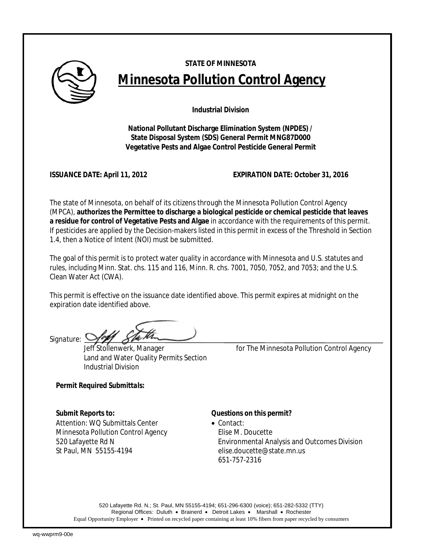

# **STATE OF MINNESOTA Minnesota Pollution Control Agency**

**Industrial Division** 

**National Pollutant Discharge Elimination System (NPDES) / State Disposal System (SDS) General Permit MNG87D000 Vegetative Pests and Algae Control Pesticide General Permit** 

**ISSUANCE DATE: April 11, 2012 EXPIRATION DATE: October 31, 2016**

The state of Minnesota, on behalf of its citizens through the Minnesota Pollution Control Agency (MPCA), **authorizes the Permittee to discharge a biological pesticide or chemical pesticide that leaves a residue for control of Vegetative Pests and Algae** in accordance with the requirements of this permit. If pesticides are applied by the Decision-makers listed in this permit in excess of the Threshold in Section 1.4, then a Notice of Intent (NOI) must be submitted.

The goal of this permit is to protect water quality in accordance with Minnesota and U.S. statutes and rules, including Minn. Stat. chs. 115 and 116, Minn. R. chs. 7001, 7050, 7052, and 7053; and the U.S. Clean Water Act (CWA).

This permit is effective on the issuance date identified above. This permit expires at midnight on the expiration date identified above.

*Signature:*

Land and Water Quality Permits Section Industrial Division

Jeff Stollenwerk, Manager *for* The Minnesota Pollution Control Agency

*Permit Required Submittals:* 

*Submit Reports to: Questions on this permit?*  Attention: WO Submittals Center • Contact: Minnesota Pollution Control Agency Elise M. Doucette St Paul, MN 55155-4194 elise.doucette@state.mn.us

520 Lafayette Rd N Environmental Analysis and Outcomes Division 651-757-2316

520 Lafayette Rd. N.; St. Paul, MN 55155-4194; 651-296-6300 (voice); 651-282-5332 (TTY) Regional Offices: Duluth • Brainerd • Detroit Lakes • Marshall • Rochester Equal Opportunity Employer • Printed on recycled paper containing at least 10% fibers from paper recycled by consumers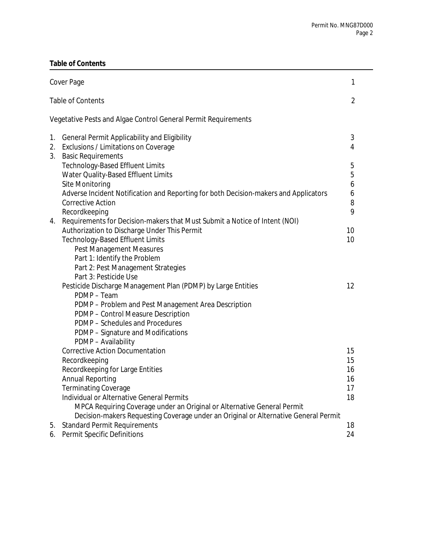# **Table of Contents**

|                                                                | Cover Page                                                                                                                 |    |  |  |
|----------------------------------------------------------------|----------------------------------------------------------------------------------------------------------------------------|----|--|--|
|                                                                | <b>Table of Contents</b>                                                                                                   |    |  |  |
| Vegetative Pests and Algae Control General Permit Requirements |                                                                                                                            |    |  |  |
| 1.                                                             | General Permit Applicability and Eligibility                                                                               | 3  |  |  |
| 2.                                                             | Exclusions / Limitations on Coverage                                                                                       | 4  |  |  |
| 3.                                                             | <b>Basic Requirements</b>                                                                                                  |    |  |  |
|                                                                | <b>Technology-Based Effluent Limits</b>                                                                                    | 5  |  |  |
|                                                                | Water Quality-Based Effluent Limits                                                                                        | 5  |  |  |
|                                                                | Site Monitoring                                                                                                            | 6  |  |  |
|                                                                | Adverse Incident Notification and Reporting for both Decision-makers and Applicators                                       | 6  |  |  |
|                                                                | <b>Corrective Action</b>                                                                                                   | 8  |  |  |
|                                                                | Recordkeeping                                                                                                              | 9  |  |  |
| 4.                                                             | Requirements for Decision-makers that Must Submit a Notice of Intent (NOI)<br>Authorization to Discharge Under This Permit | 10 |  |  |
|                                                                | <b>Technology-Based Effluent Limits</b>                                                                                    | 10 |  |  |
|                                                                | <b>Pest Management Measures</b>                                                                                            |    |  |  |
|                                                                | Part 1: Identify the Problem                                                                                               |    |  |  |
|                                                                | Part 2: Pest Management Strategies                                                                                         |    |  |  |
|                                                                | Part 3: Pesticide Use                                                                                                      |    |  |  |
|                                                                | Pesticide Discharge Management Plan (PDMP) by Large Entities                                                               | 12 |  |  |
|                                                                | PDMP - Team                                                                                                                |    |  |  |
|                                                                | PDMP - Problem and Pest Management Area Description                                                                        |    |  |  |
|                                                                | PDMP - Control Measure Description                                                                                         |    |  |  |
|                                                                | PDMP - Schedules and Procedures                                                                                            |    |  |  |
|                                                                | PDMP - Signature and Modifications                                                                                         |    |  |  |
|                                                                | PDMP - Availability                                                                                                        |    |  |  |
|                                                                | <b>Corrective Action Documentation</b>                                                                                     | 15 |  |  |
|                                                                | Recordkeeping                                                                                                              | 15 |  |  |
|                                                                | Recordkeeping for Large Entities                                                                                           | 16 |  |  |
|                                                                | <b>Annual Reporting</b>                                                                                                    | 16 |  |  |
|                                                                | Terminating Coverage                                                                                                       | 17 |  |  |
|                                                                | Individual or Alternative General Permits                                                                                  | 18 |  |  |
|                                                                | MPCA Requiring Coverage under an Original or Alternative General Permit                                                    |    |  |  |
|                                                                | Decision-makers Requesting Coverage under an Original or Alternative General Permit                                        |    |  |  |
| 5.                                                             | <b>Standard Permit Requirements</b>                                                                                        | 18 |  |  |
| 6.                                                             | Permit Specific Definitions                                                                                                | 24 |  |  |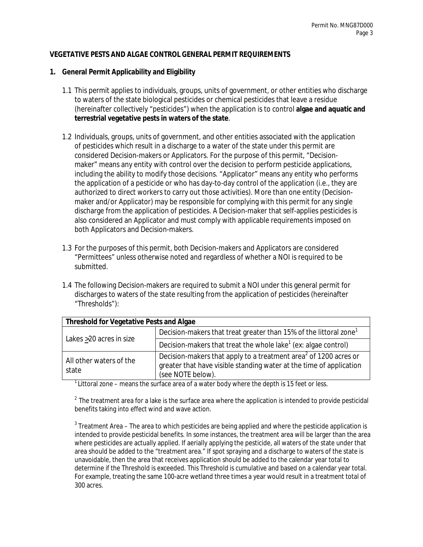### **VEGETATIVE PESTS AND ALGAE CONTROL GENERAL PERMIT REQUIREMENTS**

#### **1. General Permit Applicability and Eligibility**

- 1.1 This permit applies to individuals, groups, units of government, or other entities who discharge to waters of the state biological pesticides or chemical pesticides that leave a residue (hereinafter collectively "pesticides") when the application is to control **algae and aquatic and terrestrial vegetative pests in waters of the state**.
- 1.2 Individuals, groups, units of government, and other entities associated with the application of pesticides which result in a discharge to a water of the state under this permit are considered Decision-makers or Applicators. For the purpose of this permit, "Decisionmaker" means any entity with control over the decision to perform pesticide applications, including the ability to modify those decisions. "Applicator" means any entity who performs the application of a pesticide or who has day-to-day control of the application (i.e., they are authorized to direct workers to carry out those activities). More than one entity (Decisionmaker and/or Applicator) may be responsible for complying with this permit for any single discharge from the application of pesticides. A Decision-maker that self-applies pesticides is also considered an Applicator and must comply with applicable requirements imposed on both Applicators and Decision-makers.
- 1.3 For the purposes of this permit, both Decision-makers and Applicators are considered "Permittees" unless otherwise noted and regardless of whether a NOI is required to be submitted.
- 1.4 The following Decision-makers are required to submit a NOI under this general permit for discharges to waters of the state resulting from the application of pesticides (hereinafter "Thresholds"):

| Threshold for Vegetative Pests and Algae |                                                                                                                                                                          |  |  |  |  |
|------------------------------------------|--------------------------------------------------------------------------------------------------------------------------------------------------------------------------|--|--|--|--|
|                                          | Decision-makers that treat greater than 15% of the littoral zone <sup>1</sup>                                                                                            |  |  |  |  |
| Lakes >20 acres in size                  | Decision-makers that treat the whole lake <sup>1</sup> (ex: algae control)                                                                                               |  |  |  |  |
| All other waters of the<br>state         | Decision-makers that apply to a treatment area <sup>2</sup> of 1200 acres or<br>greater that have visible standing water at the time of application<br>(see NOTE below). |  |  |  |  |

 $1$ Littoral zone – means the surface area of a water body where the depth is 15 feet or less.

 $2$  The treatment area for a lake is the surface area where the application is intended to provide pesticidal benefits taking into effect wind and wave action.

 $^{\rm 3}$  Treatment Area – The area to which pesticides are being applied and where the pesticide application is intended to provide pesticidal benefits. In some instances, the treatment area will be larger than the area where pesticides are actually applied. If aerially applying the pesticide, all waters of the state under that area should be added to the "treatment area." If spot spraying and a discharge to waters of the state is unavoidable, then the area that receives application should be added to the calendar year total to determine if the Threshold is exceeded. This Threshold is cumulative and based on a calendar year total. For example, treating the same 100-acre wetland three times a year would result in a treatment total of 300 acres.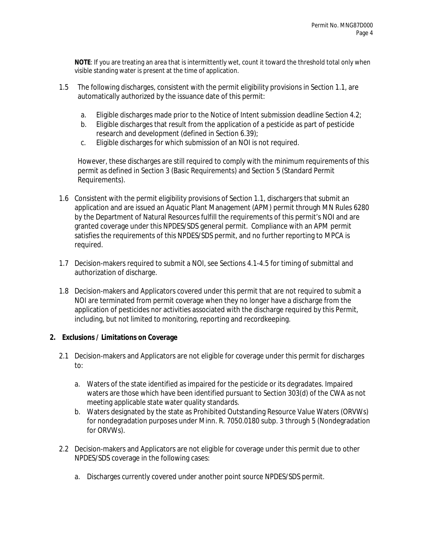**NOTE**: If you are treating an area that is intermittently wet, count it toward the threshold total only when visible standing water is present at the time of application.

- 1.5 The following discharges, consistent with the permit eligibility provisions in Section 1.1, are automatically authorized by the issuance date of this permit:
	- a. Eligible discharges made prior to the Notice of Intent submission deadline Section 4.2;
	- b. Eligible discharges that result from the application of a pesticide as part of pesticide research and development (defined in Section 6.39);
	- c. Eligible discharges for which submission of an NOI is not required.

However, these discharges are still required to comply with the minimum requirements of this permit as defined in Section 3 (Basic Requirements) and Section 5 (Standard Permit Requirements).

- 1.6 Consistent with the permit eligibility provisions of Section 1.1, dischargers that submit an application and are issued an Aquatic Plant Management (APM) permit through MN Rules 6280 by the Department of Natural Resources fulfill the requirements of this permit's NOI and are granted coverage under this NPDES/SDS general permit. Compliance with an APM permit satisfies the requirements of this NPDES/SDS permit, and no further reporting to MPCA is required.
- 1.7 Decision-makers required to submit a NOI, see Sections 4.1-4.5 for timing of submittal and authorization of discharge.
- 1.8 Decision-makers and Applicators covered under this permit that are not required to submit a NOI are terminated from permit coverage when they no longer have a discharge from the application of pesticides nor activities associated with the discharge required by this Permit, including, but not limited to monitoring, reporting and recordkeeping.

### **2. Exclusions / Limitations on Coverage**

- 2.1 Decision-makers and Applicators are not eligible for coverage under this permit for discharges to:
	- a. Waters of the state identified as impaired for the pesticide or its degradates. Impaired waters are those which have been identified pursuant to Section 303(d) of the CWA as not meeting applicable state water quality standards.
	- b. Waters designated by the state as Prohibited Outstanding Resource Value Waters (ORVWs) for nondegradation purposes under Minn. R. 7050.0180 subp. 3 through 5 (Nondegradation for ORVWs).
- 2.2 Decision-makers and Applicators are not eligible for coverage under this permit due to other NPDES/SDS coverage in the following cases:
	- a. Discharges currently covered under another point source NPDES/SDS permit.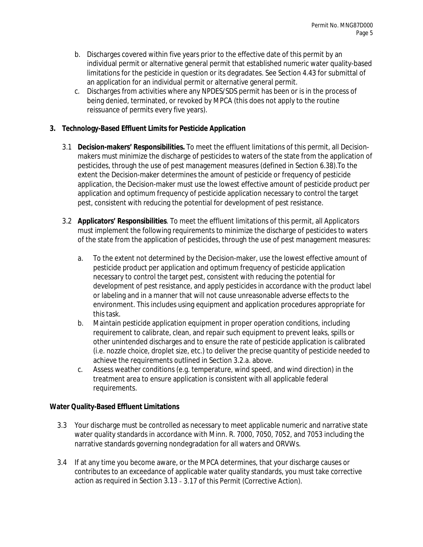- b. Discharges covered within five years prior to the effective date of this permit by an individual permit or alternative general permit that established numeric water quality-based limitations for the pesticide in question or its degradates. See Section 4.43 for submittal of an application for an individual permit or alternative general permit.
- c. Discharges from activities where any NPDES/SDS permit has been or is in the process of being denied, terminated, or revoked by MPCA (this does not apply to the routine reissuance of permits every five years).

# **3. Technology-Based Effluent Limits for Pesticide Application**

- 3.1 **Decision-makers' Responsibilities.** To meet the effluent limitations of this permit, all Decisionmakers must minimize the discharge of pesticides to waters of the state from the application of pesticides, through the use of pest management measures (defined in Section 6.38).To the extent the Decision-maker determines the amount of pesticide or frequency of pesticide application, the Decision-maker must use the lowest effective amount of pesticide product per application and optimum frequency of pesticide application necessary to control the target pest, consistent with reducing the potential for development of pest resistance.
- 3.2 **Applicators' Responsibilities**. To meet the effluent limitations of this permit, all Applicators must implement the following requirements to minimize the discharge of pesticides to waters of the state from the application of pesticides, through the use of pest management measures:
	- a. To the extent not determined by the Decision-maker, use the lowest effective amount of pesticide product per application and optimum frequency of pesticide application necessary to control the target pest, consistent with reducing the potential for development of pest resistance, and apply pesticides in accordance with the product label or labeling and in a manner that will not cause unreasonable adverse effects to the environment. This includes using equipment and application procedures appropriate for this task.
	- b. Maintain pesticide application equipment in proper operation conditions, including requirement to calibrate, clean, and repair such equipment to prevent leaks, spills or other unintended discharges and to ensure the rate of pesticide application is calibrated (i.e. nozzle choice, droplet size, etc.) to deliver the precise quantity of pesticide needed to achieve the requirements outlined in Section 3.2.a. above.
	- c. Assess weather conditions (e.g. temperature, wind speed, and wind direction) in the treatment area to ensure application is consistent with all applicable federal requirements.

# **Water Quality-Based Effluent Limitations**

- 3.3 Your discharge must be controlled as necessary to meet applicable numeric and narrative state water quality standards in accordance with Minn. R. 7000, 7050, 7052, and 7053 including the narrative standards governing nondegradation for all waters and ORVWs.
- 3.4 If at any time you become aware, or the MPCA determines, that your discharge causes or contributes to an exceedance of applicable water quality standards, you must take corrective action as required in Section 3.13 – 3.17 of this Permit (Corrective Action).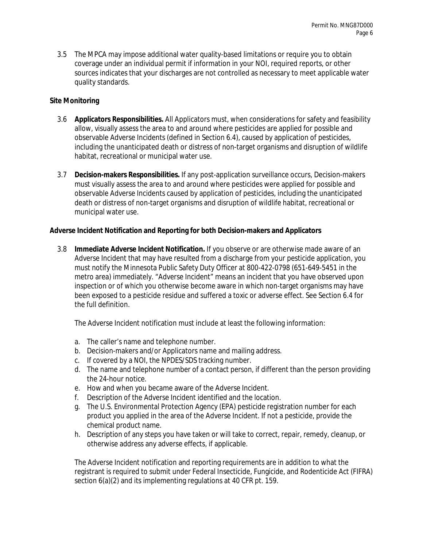3.5 The MPCA may impose additional water quality-based limitations or require you to obtain coverage under an individual permit if information in your NOI, required reports, or other sources indicates that your discharges are not controlled as necessary to meet applicable water quality standards.

# **Site Monitoring**

- 3.6 **Applicators Responsibilities.** All Applicators must, when considerations for safety and feasibility allow, visually assess the area to and around where pesticides are applied for possible and observable Adverse Incidents (defined in Section 6.4), caused by application of pesticides, including the unanticipated death or distress of non-target organisms and disruption of wildlife habitat, recreational or municipal water use.
- 3.7 **Decision-makers Responsibilities.** If any post-application surveillance occurs, Decision-makers must visually assess the area to and around where pesticides were applied for possible and observable Adverse Incidents caused by application of pesticides, including the unanticipated death or distress of non-target organisms and disruption of wildlife habitat, recreational or municipal water use.

# **Adverse Incident Notification and Reporting for both Decision-makers and Applicators**

3.8 **Immediate Adverse Incident Notification.** If you observe or are otherwise made aware of an Adverse Incident that may have resulted from a discharge from your pesticide application, you must notify the Minnesota Public Safety Duty Officer at 800-422-0798 (651-649-5451 in the metro area) immediately. "Adverse Incident" means an incident that you have observed upon inspection or of which you otherwise become aware in which non-target organisms may have been exposed to a pesticide residue and suffered a toxic or adverse effect. See Section 6.4 for the full definition.

The Adverse Incident notification must include at least the following information:

- a. The caller's name and telephone number.
- b. Decision-makers and/or Applicators name and mailing address.
- c. If covered by a NOI, the NPDES/SDS tracking number.
- d. The name and telephone number of a contact person, if different than the person providing the 24-hour notice.
- e. How and when you became aware of the Adverse Incident.
- f. Description of the Adverse Incident identified and the location.
- g. The U.S. Environmental Protection Agency (EPA) pesticide registration number for each product you applied in the area of the Adverse Incident. If not a pesticide, provide the chemical product name.
- h. Description of any steps you have taken or will take to correct, repair, remedy, cleanup, or otherwise address any adverse effects, if applicable.

The Adverse Incident notification and reporting requirements are in addition to what the registrant is required to submit under Federal Insecticide, Fungicide, and Rodenticide Act (FIFRA) section 6(a)(2) and its implementing regulations at 40 CFR pt. 159.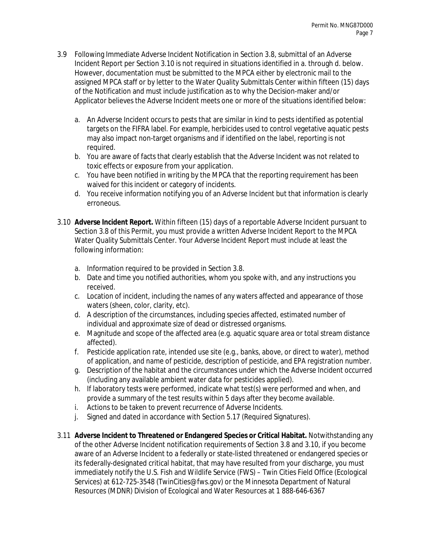- 3.9 Following Immediate Adverse Incident Notification in Section 3.8, submittal of an Adverse Incident Report per Section 3.10 is not required in situations identified in a. through d. below. However, documentation must be submitted to the MPCA either by electronic mail to the assigned MPCA staff or by letter to the Water Quality Submittals Center within fifteen (15) days of the Notification and must include justification as to why the Decision-maker and/or Applicator believes the Adverse Incident meets one or more of the situations identified below:
	- a. An Adverse Incident occurs to pests that are similar in kind to pests identified as potential targets on the FIFRA label. For example, herbicides used to control vegetative aquatic pests may also impact non-target organisms and if identified on the label, reporting is not required.
	- b. You are aware of facts that clearly establish that the Adverse Incident was not related to toxic effects or exposure from your application.
	- c. You have been notified in writing by the MPCA that the reporting requirement has been waived for this incident or category of incidents.
	- d. You receive information notifying you of an Adverse Incident but that information is clearly erroneous.
- 3.10 **Adverse Incident Report.** Within fifteen (15) days of a reportable Adverse Incident pursuant to Section 3.8 of this Permit, you must provide a written Adverse Incident Report to the MPCA Water Quality Submittals Center. Your Adverse Incident Report must include at least the following information:
	- a. Information required to be provided in Section 3.8.
	- b. Date and time you notified authorities, whom you spoke with, and any instructions you received.
	- c. Location of incident, including the names of any waters affected and appearance of those waters (sheen, color, clarity, etc).
	- d. A description of the circumstances, including species affected, estimated number of individual and approximate size of dead or distressed organisms.
	- e. Magnitude and scope of the affected area (e.g. aquatic square area or total stream distance affected).
	- f. Pesticide application rate, intended use site (e.g., banks, above, or direct to water), method of application, and name of pesticide, description of pesticide, and EPA registration number.
	- g. Description of the habitat and the circumstances under which the Adverse Incident occurred (including any available ambient water data for pesticides applied).
	- h. If laboratory tests were performed, indicate what test(s) were performed and when, and provide a summary of the test results within 5 days after they become available.
	- i. Actions to be taken to prevent recurrence of Adverse Incidents.
	- j. Signed and dated in accordance with Section 5.17 (Required Signatures).
- 3.11 **Adverse Incident to Threatened or Endangered Species or Critical Habitat.** Notwithstanding any of the other Adverse Incident notification requirements of Section 3.8 and 3.10, if you become aware of an Adverse Incident to a federally or state-listed threatened or endangered species or its federally-designated critical habitat, that may have resulted from your discharge, you must immediately notify the U.S. Fish and Wildlife Service (FWS) – Twin Cities Field Office (Ecological Services) at 612-725-3548 (TwinCities@fws.gov) or the Minnesota Department of Natural Resources (MDNR) Division of Ecological and Water Resources at 1 888-646-6367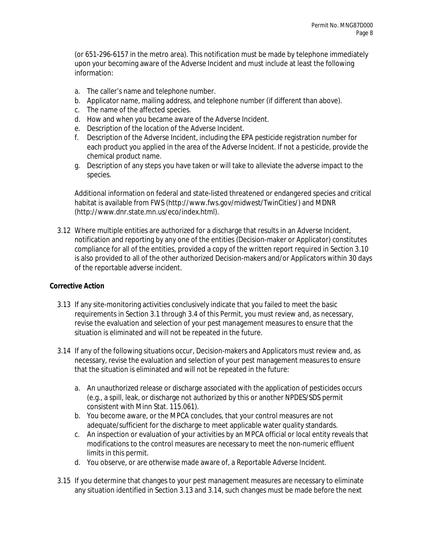(or 651-296-6157 in the metro area). This notification must be made by telephone immediately upon your becoming aware of the Adverse Incident and must include at least the following information:

- a. The caller's name and telephone number.
- b. Applicator name, mailing address, and telephone number (if different than above).
- c. The name of the affected species.
- d. How and when you became aware of the Adverse Incident.
- e. Description of the location of the Adverse Incident.
- f. Description of the Adverse Incident, including the EPA pesticide registration number for each product you applied in the area of the Adverse Incident. If not a pesticide, provide the chemical product name.
- g. Description of any steps you have taken or will take to alleviate the adverse impact to the species.

Additional information on federal and state-listed threatened or endangered species and critical habitat is available from FWS (http://www.fws.gov/midwest/TwinCities/) and MDNR (http://www.dnr.state.mn.us/eco/index.html).

3.12 Where multiple entities are authorized for a discharge that results in an Adverse Incident, notification and reporting by any one of the entities (Decision-maker or Applicator) constitutes compliance for all of the entities, provided a copy of the written report required in Section 3.10 is also provided to all of the other authorized Decision-makers and/or Applicators within 30 days of the reportable adverse incident.

### **Corrective Action**

- 3.13 If any site-monitoring activities conclusively indicate that you failed to meet the basic requirements in Section 3.1 through 3.4 of this Permit, you must review and, as necessary, revise the evaluation and selection of your pest management measures to ensure that the situation is eliminated and will not be repeated in the future.
- 3.14 If any of the following situations occur, Decision-makers and Applicators must review and, as necessary, revise the evaluation and selection of your pest management measures to ensure that the situation is eliminated and will not be repeated in the future:
	- a. An unauthorized release or discharge associated with the application of pesticides occurs (e.g., a spill, leak, or discharge not authorized by this or another NPDES/SDS permit consistent with Minn Stat. 115.061).
	- b. You become aware, or the MPCA concludes, that your control measures are not adequate/sufficient for the discharge to meet applicable water quality standards.
	- c. An inspection or evaluation of your activities by an MPCA official or local entity reveals that modifications to the control measures are necessary to meet the non-numeric effluent limits in this permit.
	- d. You observe, or are otherwise made aware of, a Reportable Adverse Incident.
- 3.15 If you determine that changes to your pest management measures are necessary to eliminate any situation identified in Section 3.13 and 3.14, such changes must be made before the next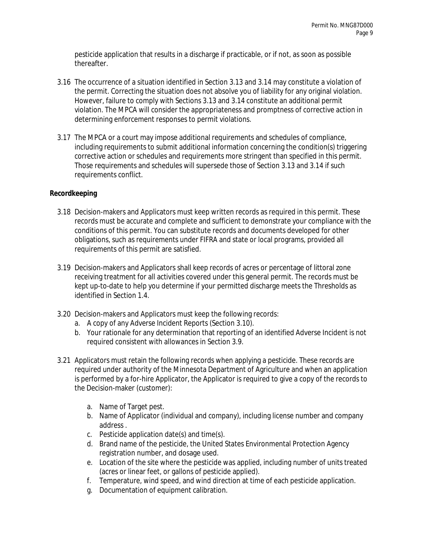pesticide application that results in a discharge if practicable, or if not, as soon as possible thereafter.

- 3.16 The occurrence of a situation identified in Section 3.13 and 3.14 may constitute a violation of the permit. Correcting the situation does not absolve you of liability for any original violation. However, failure to comply with Sections 3.13 and 3.14 constitute an additional permit violation. The MPCA will consider the appropriateness and promptness of corrective action in determining enforcement responses to permit violations.
- 3.17 The MPCA or a court may impose additional requirements and schedules of compliance, including requirements to submit additional information concerning the condition(s) triggering corrective action or schedules and requirements more stringent than specified in this permit. Those requirements and schedules will supersede those of Section 3.13 and 3.14 if such requirements conflict.

# **Recordkeeping**

- 3.18 Decision-makers and Applicators must keep written records as required in this permit. These records must be accurate and complete and sufficient to demonstrate your compliance with the conditions of this permit. You can substitute records and documents developed for other obligations, such as requirements under FIFRA and state or local programs, provided all requirements of this permit are satisfied.
- 3.19 Decision-makers and Applicators shall keep records of acres or percentage of littoral zone receiving treatment for all activities covered under this general permit. The records must be kept up-to-date to help you determine if your permitted discharge meets the Thresholds as identified in Section 1.4.
- 3.20 Decision-makers and Applicators must keep the following records:
	- a. A copy of any Adverse Incident Reports (Section 3.10).
	- b. Your rationale for any determination that reporting of an identified Adverse Incident is not required consistent with allowances in Section 3.9.
- 3.21 Applicators must retain the following records when applying a pesticide. These records are required under authority of the Minnesota Department of Agriculture and when an application is performed by a for-hire Applicator, the Applicator is required to give a copy of the records to the Decision-maker (customer):
	- a. Name of Target pest.
	- b. Name of Applicator (individual and company), including license number and company address .
	- c. Pesticide application date(s) and time(s).
	- d. Brand name of the pesticide, the United States Environmental Protection Agency registration number, and dosage used.
	- e. Location of the site where the pesticide was applied, including number of units treated (acres or linear feet, or gallons of pesticide applied).
	- f. Temperature, wind speed, and wind direction at time of each pesticide application.
	- g. Documentation of equipment calibration.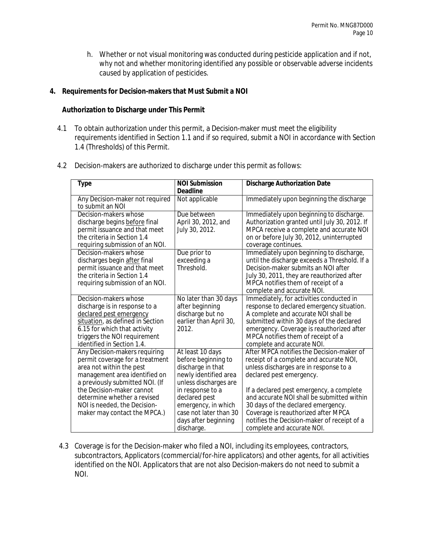h. Whether or not visual monitoring was conducted during pesticide application and if not, why not and whether monitoring identified any possible or observable adverse incidents caused by application of pesticides.

# **4. Requirements for Decision-makers that Must Submit a NOI**

### **Authorization to Discharge under This Permit**

- 4.1 To obtain authorization under this permit, a Decision-maker must meet the eligibility requirements identified in Section 1.1 and if so required, submit a NOI in accordance with Section 1.4 (Thresholds) of this Permit.
- 4.2 Decision-makers are authorized to discharge under this permit as follows:

| <b>Type</b>                      | <b>NOI Submission</b>  | <b>Discharge Authorization Date</b>                                    |
|----------------------------------|------------------------|------------------------------------------------------------------------|
|                                  | <b>Deadline</b>        |                                                                        |
| Any Decision-maker not required  | Not applicable         | Immediately upon beginning the discharge                               |
| to submit an NOI                 |                        |                                                                        |
| Decision-makers whose            | Due between            | Immediately upon beginning to discharge.                               |
| discharge begins before final    | April 30, 2012, and    | Authorization granted until July 30, 2012. If                          |
| permit issuance and that meet    | July 30, 2012.         | MPCA receive a complete and accurate NOI                               |
| the criteria in Section 1.4      |                        | on or before July 30, 2012, uninterrupted                              |
| requiring submission of an NOI.  |                        | coverage continues.                                                    |
| Decision-makers whose            | Due prior to           | Immediately upon beginning to discharge,                               |
| discharges begin after final     | exceeding a            | until the discharge exceeds a Threshold. If a                          |
| permit issuance and that meet    | Threshold.             | Decision-maker submits an NOI after                                    |
| the criteria in Section 1.4      |                        | July 30, 2011, they are reauthorized after                             |
| requiring submission of an NOI.  |                        | MPCA notifies them of receipt of a                                     |
| Decision-makers whose            | No later than 30 days  | complete and accurate NOI.<br>Immediately, for activities conducted in |
| discharge is in response to a    | after beginning        | response to declared emergency situation.                              |
| declared pest emergency          | discharge but no       | A complete and accurate NOI shall be                                   |
| situation, as defined in Section | earlier than April 30, | submitted within 30 days of the declared                               |
| 6.15 for which that activity     | 2012.                  | emergency. Coverage is reauthorized after                              |
| triggers the NOI requirement     |                        | MPCA notifies them of receipt of a                                     |
| identified in Section 1.4.       |                        | complete and accurate NOI.                                             |
| Any Decision-makers requiring    | At least 10 days       | After MPCA notifies the Decision-maker of                              |
| permit coverage for a treatment  | before beginning to    | receipt of a complete and accurate NOI,                                |
| area not within the pest         | discharge in that      | unless discharges are in response to a                                 |
| management area identified on    | newly identified area  | declared pest emergency.                                               |
| a previously submitted NOI. (If  | unless discharges are  |                                                                        |
| the Decision-maker cannot        | in response to a       | If a declared pest emergency, a complete                               |
| determine whether a revised      | declared pest          | and accurate NOI shall be submitted within                             |
| NOI is needed, the Decision-     | emergency, in which    | 30 days of the declared emergency.                                     |
| maker may contact the MPCA.)     | case not later than 30 | Coverage is reauthorized after MPCA                                    |
|                                  | days after beginning   | notifies the Decision-maker of receipt of a                            |
|                                  | discharge.             | complete and accurate NOI.                                             |

4.3 Coverage is for the Decision-maker who filed a NOI, including its employees, contractors, subcontractors, Applicators (commercial/for-hire applicators) and other agents, for all activities identified on the NOI. Applicators that are not also Decision-makers do not need to submit a NOI.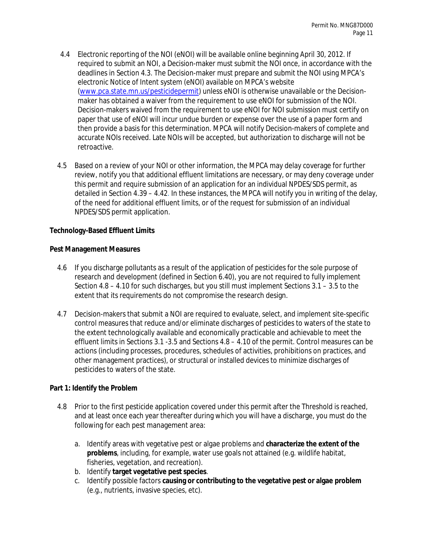- 4.4 Electronic reporting of the NOI (eNOI) will be available online beginning April 30, 2012. If required to submit an NOI, a Decision-maker must submit the NOI once, in accordance with the deadlines in Section 4.3. The Decision-maker must prepare and submit the NOI using MPCA's electronic Notice of Intent system (eNOI) available on MPCA's website (www.pca.state.mn.us/pesticidepermit) unless eNOI is otherwise unavailable or the Decisionmaker has obtained a waiver from the requirement to use eNOI for submission of the NOI. Decision-makers waived from the requirement to use eNOI for NOI submission must certify on paper that use of eNOI will incur undue burden or expense over the use of a paper form and then provide a basis for this determination. MPCA will notify Decision-makers of complete and accurate NOIs received. Late NOIs will be accepted, but authorization to discharge will not be retroactive.
- 4.5 Based on a review of your NOI or other information, the MPCA may delay coverage for further review, notify you that additional effluent limitations are necessary, or may deny coverage under this permit and require submission of an application for an individual NPDES/SDS permit, as detailed in Section 4.39 – 4.42. In these instances, the MPCA will notify you in writing of the delay, of the need for additional effluent limits, or of the request for submission of an individual NPDES/SDS permit application.

### **Technology-Based Effluent Limits**

### **Pest Management Measures**

- 4.6 If you discharge pollutants as a result of the application of pesticides for the sole purpose of research and development (defined in Section 6.40), you are not required to fully implement Section 4.8 – 4.10 for such discharges, but you still must implement Sections 3.1 – 3.5 to the extent that its requirements do not compromise the research design.
- 4.7 Decision-makers that submit a NOI are required to evaluate, select, and implement site-specific control measures that reduce and/or eliminate discharges of pesticides to waters of the state to the extent technologically available and economically practicable and achievable to meet the effluent limits in Sections 3.1 -3.5 and Sections 4.8 – 4.10 of the permit. Control measures can be actions (including processes, procedures, schedules of activities, prohibitions on practices, and other management practices), or structural or installed devices to minimize discharges of pesticides to waters of the state.

### **Part 1: Identify the Problem**

- 4.8 Prior to the first pesticide application covered under this permit after the Threshold is reached, and at least once each year thereafter during which you will have a discharge, you must do the following for each pest management area:
	- a. Identify areas with vegetative pest or algae problems and **characterize the extent of the problems**, including, for example, water use goals not attained (e.g. wildlife habitat, fisheries, vegetation, and recreation).
	- b. Identify **target vegetative pest species**.
	- c. Identify possible factors **causing or contributing to the vegetative pest or algae problem** (e.g., nutrients, invasive species, etc).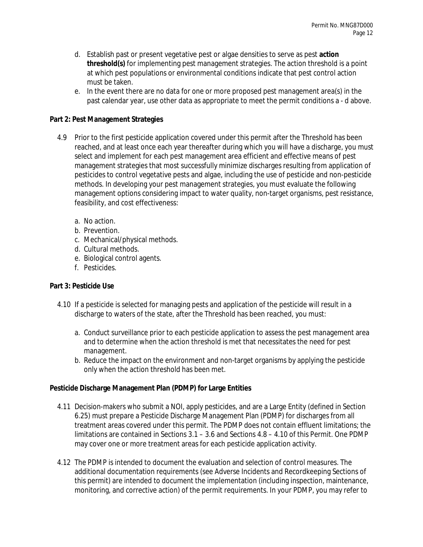- d. Establish past or present vegetative pest or algae densities to serve as pest **action threshold(s)** for implementing pest management strategies. The action threshold is a point at which pest populations or environmental conditions indicate that pest control action must be taken.
- e. In the event there are no data for one or more proposed pest management area(s) in the past calendar year, use other data as appropriate to meet the permit conditions a - d above.

# **Part 2: Pest Management Strategies**

- 4.9 Prior to the first pesticide application covered under this permit after the Threshold has been reached, and at least once each year thereafter during which you will have a discharge, you must select and implement for each pest management area efficient and effective means of pest management strategies that most successfully minimize discharges resulting from application of pesticides to control vegetative pests and algae, including the use of pesticide and non-pesticide methods. In developing your pest management strategies, you must evaluate the following management options considering impact to water quality, non-target organisms, pest resistance, feasibility, and cost effectiveness:
	- a. No action.
	- b. Prevention.
	- c. Mechanical/physical methods.
	- d. Cultural methods.
	- e. Biological control agents.
	- f. Pesticides.

# **Part 3: Pesticide Use**

- 4.10 If a pesticide is selected for managing pests and application of the pesticide will result in a discharge to waters of the state, after the Threshold has been reached, you must:
	- a. Conduct surveillance prior to each pesticide application to assess the pest management area and to determine when the action threshold is met that necessitates the need for pest management.
	- b. Reduce the impact on the environment and non-target organisms by applying the pesticide only when the action threshold has been met.

# **Pesticide Discharge Management Plan (PDMP) for Large Entities**

- 4.11 Decision-makers who submit a NOI, apply pesticides, and are a Large Entity (defined in Section 6.25) must prepare a Pesticide Discharge Management Plan (PDMP) for discharges from all treatment areas covered under this permit. The PDMP does not contain effluent limitations; the limitations are contained in Sections 3.1 – 3.6 and Sections 4.8 – 4.10 of this Permit. One PDMP may cover one or more treatment areas for each pesticide application activity.
- 4.12 The PDMP is intended to document the evaluation and selection of control measures. The additional documentation requirements (see Adverse Incidents and Recordkeeping Sections of this permit) are intended to document the implementation (including inspection, maintenance, monitoring, and corrective action) of the permit requirements. In your PDMP, you may refer to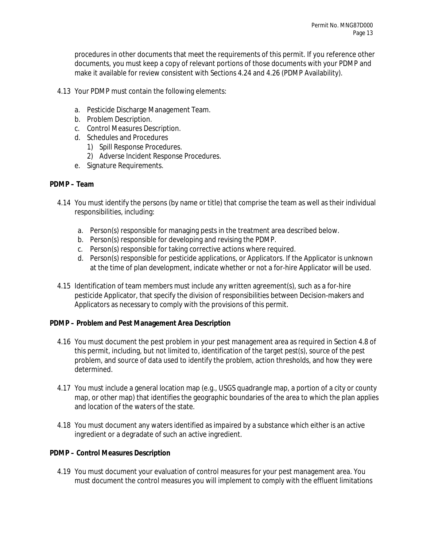procedures in other documents that meet the requirements of this permit. If you reference other documents, you must keep a copy of relevant portions of those documents with your PDMP and make it available for review consistent with Sections 4.24 and 4.26 (PDMP Availability).

- 4.13 Your PDMP must contain the following elements:
	- a. Pesticide Discharge Management Team.
	- b. Problem Description.
	- c. Control Measures Description.
	- d. Schedules and Procedures
		- 1) Spill Response Procedures.
		- 2) Adverse Incident Response Procedures.
	- e. Signature Requirements.

### **PDMP – Team**

- 4.14 You must identify the persons (by name or title) that comprise the team as well as their individual responsibilities, including:
	- a. Person(s) responsible for managing pests in the treatment area described below.
	- b. Person(s) responsible for developing and revising the PDMP.
	- c. Person(s) responsible for taking corrective actions where required.
	- d. Person(s) responsible for pesticide applications, or Applicators. If the Applicator is unknown at the time of plan development, indicate whether or not a for-hire Applicator will be used.
- 4.15 Identification of team members must include any written agreement(s), such as a for-hire pesticide Applicator, that specify the division of responsibilities between Decision-makers and Applicators as necessary to comply with the provisions of this permit.

### **PDMP – Problem and Pest Management Area Description**

- 4.16 You must document the pest problem in your pest management area as required in Section 4.8 of this permit, including, but not limited to, identification of the target pest(s), source of the pest problem, and source of data used to identify the problem, action thresholds, and how they were determined.
- 4.17 You must include a general location map (e.g., USGS quadrangle map, a portion of a city or county map, or other map) that identifies the geographic boundaries of the area to which the plan applies and location of the waters of the state.
- 4.18 You must document any waters identified as impaired by a substance which either is an active ingredient or a degradate of such an active ingredient.

### **PDMP – Control Measures Description**

4.19 You must document your evaluation of control measures for your pest management area. You must document the control measures you will implement to comply with the effluent limitations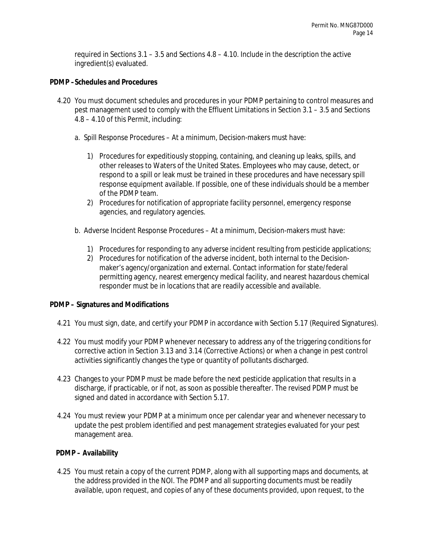required in Sections 3.1 – 3.5 and Sections 4.8 – 4.10. Include in the description the active ingredient(s) evaluated.

#### **PDMP –Schedules and Procedures**

- 4.20 You must document schedules and procedures in your PDMP pertaining to control measures and pest management used to comply with the Effluent Limitations in Section 3.1 – 3.5 and Sections 4.8 – 4.10 of this Permit, including:
	- a. Spill Response Procedures At a minimum, Decision-makers must have:
		- 1) Procedures for expeditiously stopping, containing, and cleaning up leaks, spills, and other releases to Waters of the United States. Employees who may cause, detect, or respond to a spill or leak must be trained in these procedures and have necessary spill response equipment available. If possible, one of these individuals should be a member of the PDMP team.
		- 2) Procedures for notification of appropriate facility personnel, emergency response agencies, and regulatory agencies.
	- b. Adverse Incident Response Procedures At a minimum, Decision-makers must have:
		- 1) Procedures for responding to any adverse incident resulting from pesticide applications;
		- 2) Procedures for notification of the adverse incident, both internal to the Decisionmaker's agency/organization and external. Contact information for state/federal permitting agency, nearest emergency medical facility, and nearest hazardous chemical responder must be in locations that are readily accessible and available.

### **PDMP – Signatures and Modifications**

- 4.21 You must sign, date, and certify your PDMP in accordance with Section 5.17 (Required Signatures).
- 4.22 You must modify your PDMP whenever necessary to address any of the triggering conditions for corrective action in Section 3.13 and 3.14 (Corrective Actions) or when a change in pest control activities significantly changes the type or quantity of pollutants discharged.
- 4.23 Changes to your PDMP must be made before the next pesticide application that results in a discharge, if practicable, or if not, as soon as possible thereafter. The revised PDMP must be signed and dated in accordance with Section 5.17.
- 4.24 You must review your PDMP at a minimum once per calendar year and whenever necessary to update the pest problem identified and pest management strategies evaluated for your pest management area.

### **PDMP – Availability**

4.25 You must retain a copy of the current PDMP, along with all supporting maps and documents, at the address provided in the NOI. The PDMP and all supporting documents must be readily available, upon request, and copies of any of these documents provided, upon request, to the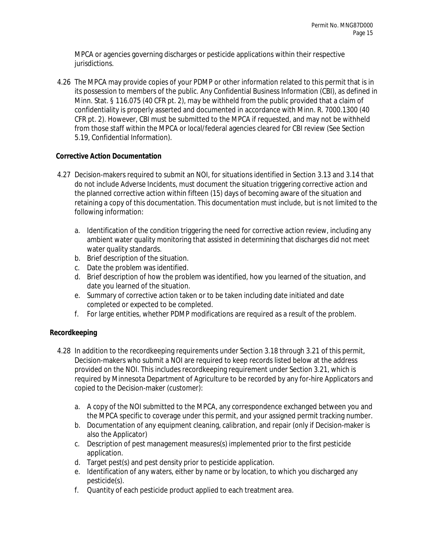MPCA or agencies governing discharges or pesticide applications within their respective jurisdictions.

4.26 The MPCA may provide copies of your PDMP or other information related to this permit that is in its possession to members of the public. Any Confidential Business Information (CBI), as defined in Minn. Stat. § 116.075 (40 CFR pt. 2), may be withheld from the public provided that a claim of confidentiality is properly asserted and documented in accordance with Minn. R. 7000.1300 (40 CFR pt. 2). However, CBI must be submitted to the MPCA if requested, and may not be withheld from those staff within the MPCA or local/federal agencies cleared for CBI review (See Section 5.19, Confidential Information).

# **Corrective Action Documentation**

- 4.27 Decision-makers required to submit an NOI, for situations identified in Section 3.13 and 3.14 that do not include Adverse Incidents, must document the situation triggering corrective action and the planned corrective action within fifteen (15) days of becoming aware of the situation and retaining a copy of this documentation. This documentation must include, but is not limited to the following information:
	- a. Identification of the condition triggering the need for corrective action review, including any ambient water quality monitoring that assisted in determining that discharges did not meet water quality standards.
	- b. Brief description of the situation.
	- c. Date the problem was identified.
	- d. Brief description of how the problem was identified, how you learned of the situation, and date you learned of the situation.
	- e. Summary of corrective action taken or to be taken including date initiated and date completed or expected to be completed.
	- f. For large entities, whether PDMP modifications are required as a result of the problem.

# **Recordkeeping**

- 4.28 In addition to the recordkeeping requirements under Section 3.18 through 3.21 of this permit, Decision-makers who submit a NOI are required to keep records listed below at the address provided on the NOI. This includes recordkeeping requirement under Section 3.21, which is required by Minnesota Department of Agriculture to be recorded by any for-hire Applicators and copied to the Decision-maker (customer):
	- a. A copy of the NOI submitted to the MPCA, any correspondence exchanged between you and the MPCA specific to coverage under this permit, and your assigned permit tracking number.
	- b. Documentation of any equipment cleaning, calibration, and repair (only if Decision-maker is also the Applicator)
	- c. Description of pest management measures(s) implemented prior to the first pesticide application.
	- d. Target pest(s) and pest density prior to pesticide application.
	- e. Identification of any waters, either by name or by location, to which you discharged any pesticide(s).
	- f. Quantity of each pesticide product applied to each treatment area.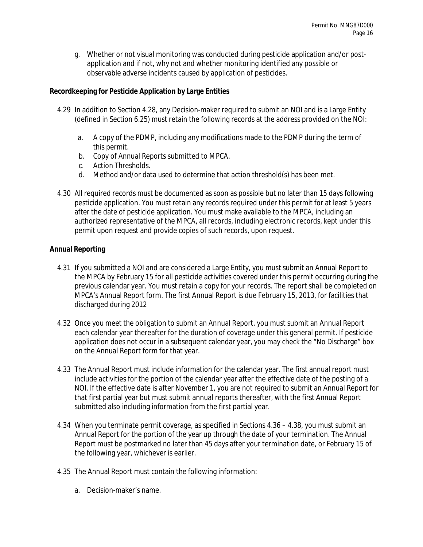g. Whether or not visual monitoring was conducted during pesticide application and/or postapplication and if not, why not and whether monitoring identified any possible or observable adverse incidents caused by application of pesticides.

# **Recordkeeping for Pesticide Application by Large Entities**

- 4.29 In addition to Section 4.28, any Decision-maker required to submit an NOI and is a Large Entity (defined in Section 6.25) must retain the following records at the address provided on the NOI:
	- a. A copy of the PDMP, including any modifications made to the PDMP during the term of this permit.
	- b. Copy of Annual Reports submitted to MPCA.
	- c. Action Thresholds.
	- d. Method and/or data used to determine that action threshold(s) has been met.
- 4.30 All required records must be documented as soon as possible but no later than 15 days following pesticide application. You must retain any records required under this permit for at least 5 years after the date of pesticide application. You must make available to the MPCA, including an authorized representative of the MPCA, all records, including electronic records, kept under this permit upon request and provide copies of such records, upon request.

### **Annual Reporting**

- 4.31 If you submitted a NOI and are considered a Large Entity, you must submit an Annual Report to the MPCA by February 15 for all pesticide activities covered under this permit occurring during the previous calendar year. You must retain a copy for your records. The report shall be completed on MPCA's Annual Report form. The first Annual Report is due February 15, 2013, for facilities that discharged during 2012
- 4.32 Once you meet the obligation to submit an Annual Report, you must submit an Annual Report each calendar year thereafter for the duration of coverage under this general permit. If pesticide application does not occur in a subsequent calendar year, you may check the "No Discharge" box on the Annual Report form for that year.
- 4.33 The Annual Report must include information for the calendar year. The first annual report must include activities for the portion of the calendar year after the effective date of the posting of a NOI. If the effective date is after November 1, you are not required to submit an Annual Report for that first partial year but must submit annual reports thereafter, with the first Annual Report submitted also including information from the first partial year.
- 4.34 When you terminate permit coverage, as specified in Sections 4.36 4.38, you must submit an Annual Report for the portion of the year up through the date of your termination. The Annual Report must be postmarked no later than 45 days after your termination date, or February 15 of the following year, whichever is earlier.
- 4.35 The Annual Report must contain the following information:
	- a. Decision-maker's name.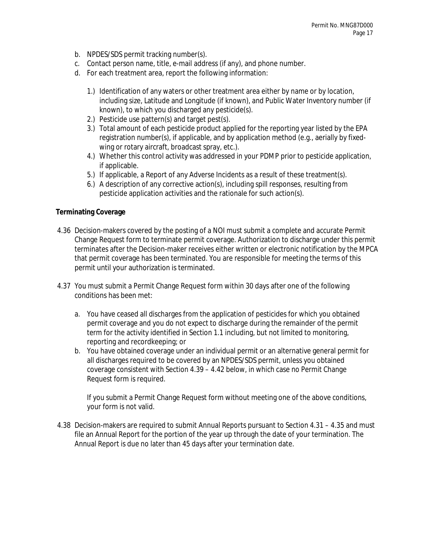- b. NPDES/SDS permit tracking number(s).
- c. Contact person name, title, e-mail address (if any), and phone number.
- d. For each treatment area, report the following information:
	- 1.) Identification of any waters or other treatment area either by name or by location, including size, Latitude and Longitude (if known), and Public Water Inventory number (if known), to which you discharged any pesticide(s).
	- 2.) Pesticide use pattern(s) and target pest(s).
	- 3.) Total amount of each pesticide product applied for the reporting year listed by the EPA registration number(s), if applicable, and by application method (e.g., aerially by fixedwing or rotary aircraft, broadcast spray, etc.).
	- 4.) Whether this control activity was addressed in your PDMP prior to pesticide application, if applicable.
	- 5.) If applicable, a Report of any Adverse Incidents as a result of these treatment(s).
	- 6.) A description of any corrective action(s), including spill responses, resulting from pesticide application activities and the rationale for such action(s).

### **Terminating Coverage**

- 4.36 Decision-makers covered by the posting of a NOI must submit a complete and accurate Permit Change Request form to terminate permit coverage. Authorization to discharge under this permit terminates after the Decision-maker receives either written or electronic notification by the MPCA that permit coverage has been terminated. You are responsible for meeting the terms of this permit until your authorization is terminated.
- 4.37 You must submit a Permit Change Request form within 30 days after one of the following conditions has been met:
	- a. You have ceased all discharges from the application of pesticides for which you obtained permit coverage and you do not expect to discharge during the remainder of the permit term for the activity identified in Section 1.1 including, but not limited to monitoring, reporting and recordkeeping; or
	- b. You have obtained coverage under an individual permit or an alternative general permit for all discharges required to be covered by an NPDES/SDS permit, unless you obtained coverage consistent with Section 4.39 – 4.42 below, in which case no Permit Change Request form is required.

If you submit a Permit Change Request form without meeting one of the above conditions, your form is not valid.

4.38 Decision-makers are required to submit Annual Reports pursuant to Section 4.31 – 4.35 and must file an Annual Report for the portion of the year up through the date of your termination. The Annual Report is due no later than 45 days after your termination date.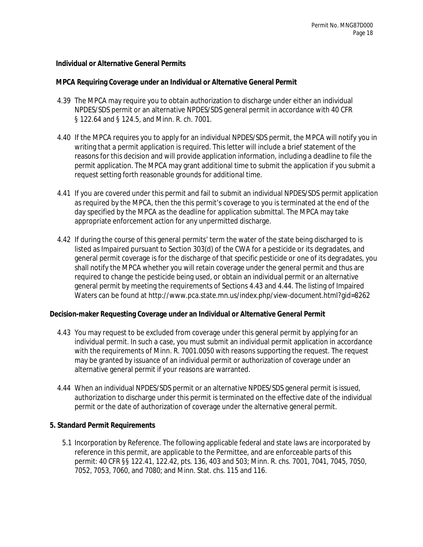#### **Individual or Alternative General Permits**

#### **MPCA Requiring Coverage under an Individual or Alternative General Permit**

- 4.39 The MPCA may require you to obtain authorization to discharge under either an individual NPDES/SDS permit or an alternative NPDES/SDS general permit in accordance with 40 CFR § 122.64 and § 124.5, and Minn. R. ch. 7001.
- 4.40 If the MPCA requires you to apply for an individual NPDES/SDS permit, the MPCA will notify you in writing that a permit application is required. This letter will include a brief statement of the reasons for this decision and will provide application information, including a deadline to file the permit application. The MPCA may grant additional time to submit the application if you submit a request setting forth reasonable grounds for additional time.
- 4.41 If you are covered under this permit and fail to submit an individual NPDES/SDS permit application as required by the MPCA, then the this permit's coverage to you is terminated at the end of the day specified by the MPCA as the deadline for application submittal. The MPCA may take appropriate enforcement action for any unpermitted discharge.
- 4.42 If during the course of this general permits' term the water of the state being discharged to is listed as Impaired pursuant to Section 303(d) of the CWA for a pesticide or its degradates, and general permit coverage is for the discharge of that specific pesticide or one of its degradates, you shall notify the MPCA whether you will retain coverage under the general permit and thus are required to change the pesticide being used, or obtain an individual permit or an alternative general permit by meeting the requirements of Sections 4.43 and 4.44. The listing of Impaired Waters can be found at http://www.pca.state.mn.us/index.php/view-document.html?gid=8262

#### **Decision-maker Requesting Coverage under an Individual or Alternative General Permit**

- 4.43 You may request to be excluded from coverage under this general permit by applying for an individual permit. In such a case, you must submit an individual permit application in accordance with the requirements of Minn. R. 7001.0050 with reasons supporting the request. The request may be granted by issuance of an individual permit or authorization of coverage under an alternative general permit if your reasons are warranted.
- 4.44 When an individual NPDES/SDS permit or an alternative NPDES/SDS general permit is issued, authorization to discharge under this permit is terminated on the effective date of the individual permit or the date of authorization of coverage under the alternative general permit.

### **5. Standard Permit Requirements**

5.1 Incorporation by Reference. The following applicable federal and state laws are incorporated by reference in this permit, are applicable to the Permittee, and are enforceable parts of this permit: 40 CFR §§ 122.41, 122.42, pts. 136, 403 and 503; Minn. R. chs. 7001, 7041, 7045, 7050, 7052, 7053, 7060, and 7080; and Minn. Stat. chs. 115 and 116.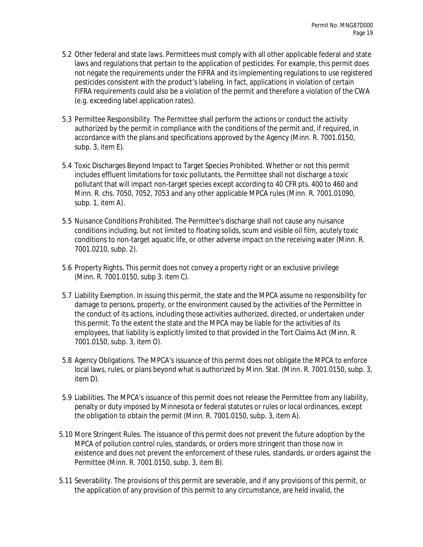- 5.2 Other federal and state laws. Permittees must comply with all other applicable federal and state laws and regulations that pertain to the application of pesticides. For example, this permit does not negate the requirements under the FIFRA and its implementing regulations to use registered pesticides consistent with the product's labeling. In fact, applications in violation of certain FIFRA requirements could also be a violation of the permit and therefore a violation of the CWA (e.g. exceeding label application rates).
- 5.3 Permittee Responsibility. The Permittee shall perform the actions or conduct the activity authorized by the permit in compliance with the conditions of the permit and, if required, in accordance with the plans and specifications approved by the Agency (Minn. R. 7001.0150, subp. 3, item E).
- 5.4 Toxic Discharges Beyond Impact to Target Species Prohibited. Whether or not this permit includes effluent limitations for toxic pollutants, the Permittee shall not discharge a toxic pollutant that will impact non-target species except according to 40 CFR pts. 400 to 460 and Minn. R. chs. 7050, 7052, 7053 and any other applicable MPCA rules (Minn. R. 7001.01090, subp. 1, item A).
- 5.5 Nuisance Conditions Prohibited. The Permittee's discharge shall not cause any nuisance conditions including, but not limited to floating solids, scum and visible oil film, acutely toxic conditions to non-target aquatic life, or other adverse impact on the receiving water (Minn. R. 7001.0210, subp. 2).
- 5.6 Property Rights. This permit does not convey a property right or an exclusive privilege (Minn. R. 7001.0150, subp 3. item C).
- 5.7 Liability Exemption. In issuing this permit, the state and the MPCA assume no responsibility for damage to persons, property, or the environment caused by the activities of the Permittee in the conduct of its actions, including those activities authorized, directed, or undertaken under this permit. To the extent the state and the MPCA may be liable for the activities of its employees, that liability is explicitly limited to that provided in the Tort Claims Act (Minn. R. 7001.0150, subp. 3, item O).
- 5.8 Agency Obligations. The MPCA's issuance of this permit does not obligate the MPCA to enforce local laws, rules, or plans beyond what is authorized by Minn. Stat. (Minn. R. 7001.0150, subp. 3, item D).
- 5.9 Liabilities. The MPCA's issuance of this permit does not release the Permittee from any liability, penalty or duty imposed by Minnesota or federal statutes or rules or local ordinances, except the obligation to obtain the permit (Minn. R. 7001.0150, subp. 3, item A).
- 5.10 More Stringent Rules. The issuance of this permit does not prevent the future adoption by the MPCA of pollution control rules, standards, or orders more stringent than those now in existence and does not prevent the enforcement of these rules, standards, or orders against the Permittee (Minn. R. 7001.0150, subp. 3, item B).
- 5.11 Severability. The provisions of this permit are severable, and if any provisions of this permit, or the application of any provision of this permit to any circumstance, are held invalid, the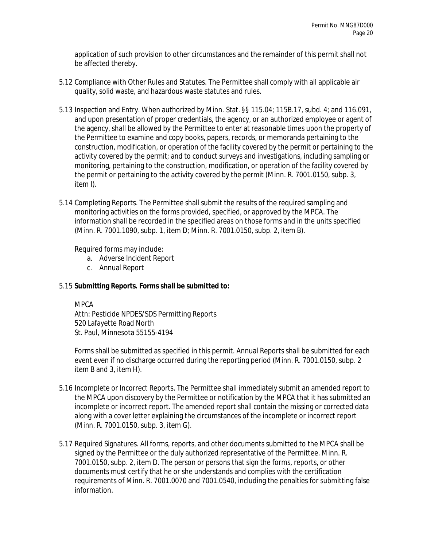application of such provision to other circumstances and the remainder of this permit shall not be affected thereby.

- 5.12 Compliance with Other Rules and Statutes. The Permittee shall comply with all applicable air quality, solid waste, and hazardous waste statutes and rules.
- 5.13 Inspection and Entry. When authorized by Minn. Stat. §§ 115.04; 115B.17, subd. 4; and 116.091, and upon presentation of proper credentials, the agency, or an authorized employee or agent of the agency, shall be allowed by the Permittee to enter at reasonable times upon the property of the Permittee to examine and copy books, papers, records, or memoranda pertaining to the construction, modification, or operation of the facility covered by the permit or pertaining to the activity covered by the permit; and to conduct surveys and investigations, including sampling or monitoring, pertaining to the construction, modification, or operation of the facility covered by the permit or pertaining to the activity covered by the permit (Minn. R. 7001.0150, subp. 3, item I).
- 5.14 Completing Reports. The Permittee shall submit the results of the required sampling and monitoring activities on the forms provided, specified, or approved by the MPCA. The information shall be recorded in the specified areas on those forms and in the units specified (Minn. R. 7001.1090, subp. 1, item D; Minn. R. 7001.0150, subp. 2, item B).

Required forms may include:

- a. Adverse Incident Report
- c. Annual Report

# 5.15 **Submitting Reports. Forms shall be submitted to:**

### MPCA

Attn: Pesticide NPDES/SDS Permitting Reports 520 Lafayette Road North St. Paul, Minnesota 55155-4194

Forms shall be submitted as specified in this permit. Annual Reports shall be submitted for each event even if no discharge occurred during the reporting period (Minn. R. 7001.0150, subp. 2 item B and 3, item H).

- 5.16 Incomplete or Incorrect Reports. The Permittee shall immediately submit an amended report to the MPCA upon discovery by the Permittee or notification by the MPCA that it has submitted an incomplete or incorrect report. The amended report shall contain the missing or corrected data along with a cover letter explaining the circumstances of the incomplete or incorrect report (Minn. R. 7001.0150, subp. 3, item G).
- 5.17 Required Signatures. All forms, reports, and other documents submitted to the MPCA shall be signed by the Permittee or the duly authorized representative of the Permittee. Minn. R. 7001.0150, subp. 2, item D. The person or persons that sign the forms, reports, or other documents must certify that he or she understands and complies with the certification requirements of Minn. R. 7001.0070 and 7001.0540, including the penalties for submitting false information.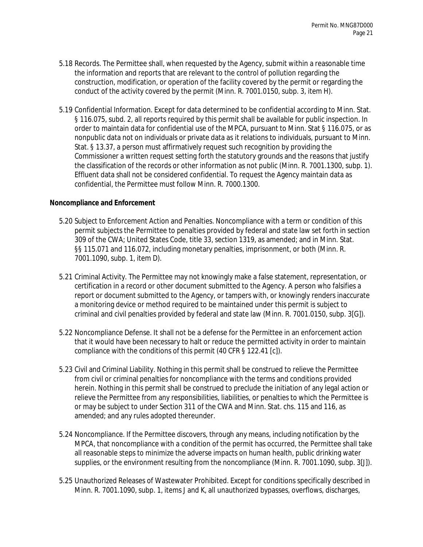- 5.18 Records. The Permittee shall, when requested by the Agency, submit within a reasonable time the information and reports that are relevant to the control of pollution regarding the construction, modification, or operation of the facility covered by the permit or regarding the conduct of the activity covered by the permit (Minn. R. 7001.0150, subp. 3, item H).
- 5.19 Confidential Information. Except for data determined to be confidential according to Minn. Stat. § 116.075, subd. 2, all reports required by this permit shall be available for public inspection. In order to maintain data for confidential use of the MPCA, pursuant to Minn. Stat § 116.075, or as nonpublic data not on individuals or private data as it relations to individuals, pursuant to Minn. Stat. § 13.37, a person must affirmatively request such recognition by providing the Commissioner a written request setting forth the statutory grounds and the reasons that justify the classification of the records or other information as not public (Minn. R. 7001.1300, subp. 1). Effluent data shall not be considered confidential. To request the Agency maintain data as confidential, the Permittee must follow Minn. R. 7000.1300.

#### **Noncompliance and Enforcement**

- 5.20 Subject to Enforcement Action and Penalties. Noncompliance with a term or condition of this permit subjects the Permittee to penalties provided by federal and state law set forth in section 309 of the CWA; United States Code, title 33, section 1319, as amended; and in Minn. Stat. §§ 115.071 and 116.072, including monetary penalties, imprisonment, or both (Minn. R. 7001.1090, subp. 1, item D).
- 5.21 Criminal Activity. The Permittee may not knowingly make a false statement, representation, or certification in a record or other document submitted to the Agency. A person who falsifies a report or document submitted to the Agency, or tampers with, or knowingly renders inaccurate a monitoring device or method required to be maintained under this permit is subject to criminal and civil penalties provided by federal and state law (Minn. R. 7001.0150, subp. 3[G]).
- 5.22 Noncompliance Defense. It shall not be a defense for the Permittee in an enforcement action that it would have been necessary to halt or reduce the permitted activity in order to maintain compliance with the conditions of this permit (40 CFR § 122.41 [c]).
- 5.23 Civil and Criminal Liability. Nothing in this permit shall be construed to relieve the Permittee from civil or criminal penalties for noncompliance with the terms and conditions provided herein. Nothing in this permit shall be construed to preclude the initiation of any legal action or relieve the Permittee from any responsibilities, liabilities, or penalties to which the Permittee is or may be subject to under Section 311 of the CWA and Minn. Stat. chs. 115 and 116, as amended; and any rules adopted thereunder.
- 5.24 Noncompliance. If the Permittee discovers, through any means, including notification by the MPCA, that noncompliance with a condition of the permit has occurred, the Permittee shall take all reasonable steps to minimize the adverse impacts on human health, public drinking water supplies, or the environment resulting from the noncompliance (Minn. R. 7001.1090, subp. 3[J]).
- 5.25 Unauthorized Releases of Wastewater Prohibited. Except for conditions specifically described in Minn. R. 7001.1090, subp. 1, items J and K, all unauthorized bypasses, overflows, discharges,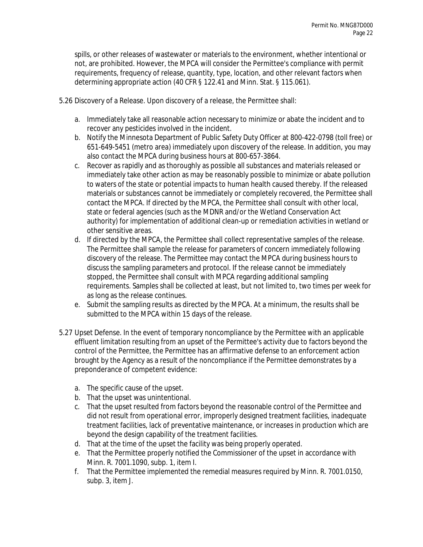spills, or other releases of wastewater or materials to the environment, whether intentional or not, are prohibited. However, the MPCA will consider the Permittee's compliance with permit requirements, frequency of release, quantity, type, location, and other relevant factors when determining appropriate action (40 CFR § 122.41 and Minn. Stat. § 115.061).

5.26 Discovery of a Release. Upon discovery of a release, the Permittee shall:

- a. Immediately take all reasonable action necessary to minimize or abate the incident and to recover any pesticides involved in the incident.
- b. Notify the Minnesota Department of Public Safety Duty Officer at 800-422-0798 (toll free) or 651-649-5451 (metro area) immediately upon discovery of the release. In addition, you may also contact the MPCA during business hours at 800-657-3864.
- c. Recover as rapidly and as thoroughly as possible all substances and materials released or immediately take other action as may be reasonably possible to minimize or abate pollution to waters of the state or potential impacts to human health caused thereby. If the released materials or substances cannot be immediately or completely recovered, the Permittee shall contact the MPCA. If directed by the MPCA, the Permittee shall consult with other local, state or federal agencies (such as the MDNR and/or the Wetland Conservation Act authority) for implementation of additional clean-up or remediation activities in wetland or other sensitive areas.
- d. If directed by the MPCA, the Permittee shall collect representative samples of the release. The Permittee shall sample the release for parameters of concern immediately following discovery of the release. The Permittee may contact the MPCA during business hours to discuss the sampling parameters and protocol. If the release cannot be immediately stopped, the Permittee shall consult with MPCA regarding additional sampling requirements. Samples shall be collected at least, but not limited to, two times per week for as long as the release continues.
- e. Submit the sampling results as directed by the MPCA. At a minimum, the results shall be submitted to the MPCA within 15 days of the release.
- 5.27 Upset Defense. In the event of temporary noncompliance by the Permittee with an applicable effluent limitation resulting from an upset of the Permittee's activity due to factors beyond the control of the Permittee, the Permittee has an affirmative defense to an enforcement action brought by the Agency as a result of the noncompliance if the Permittee demonstrates by a preponderance of competent evidence:
	- a. The specific cause of the upset.
	- b. That the upset was unintentional.
	- c. That the upset resulted from factors beyond the reasonable control of the Permittee and did not result from operational error, improperly designed treatment facilities, inadequate treatment facilities, lack of preventative maintenance, or increases in production which are beyond the design capability of the treatment facilities.
	- d. That at the time of the upset the facility was being properly operated.
	- e. That the Permittee properly notified the Commissioner of the upset in accordance with Minn. R. 7001.1090, subp. 1, item I.
	- f. That the Permittee implemented the remedial measures required by Minn. R. 7001.0150, subp. 3, item J.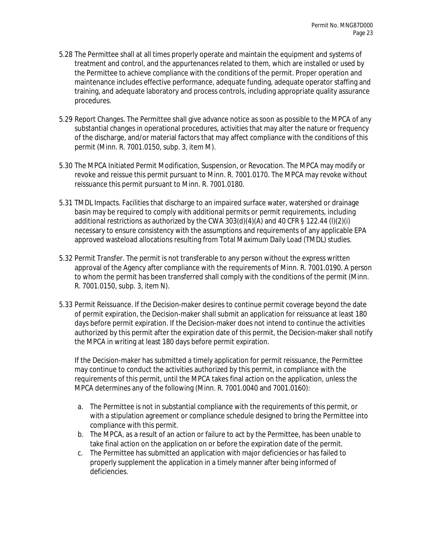- 5.28 The Permittee shall at all times properly operate and maintain the equipment and systems of treatment and control, and the appurtenances related to them, which are installed or used by the Permittee to achieve compliance with the conditions of the permit. Proper operation and maintenance includes effective performance, adequate funding, adequate operator staffing and training, and adequate laboratory and process controls, including appropriate quality assurance procedures.
- 5.29 Report Changes. The Permittee shall give advance notice as soon as possible to the MPCA of any substantial changes in operational procedures, activities that may alter the nature or frequency of the discharge, and/or material factors that may affect compliance with the conditions of this permit (Minn. R. 7001.0150, subp. 3, item M).
- 5.30 The MPCA Initiated Permit Modification, Suspension, or Revocation. The MPCA may modify or revoke and reissue this permit pursuant to Minn. R. 7001.0170. The MPCA may revoke without reissuance this permit pursuant to Minn. R. 7001.0180.
- 5.31 TMDL Impacts. Facilities that discharge to an impaired surface water, watershed or drainage basin may be required to comply with additional permits or permit requirements, including additional restrictions as authorized by the CWA 303(d)(4)(A) and 40 CFR § 122.44 (I)(2)(i) necessary to ensure consistency with the assumptions and requirements of any applicable EPA approved wasteload allocations resulting from Total Maximum Daily Load (TMDL) studies.
- 5.32 Permit Transfer. The permit is not transferable to any person without the express written approval of the Agency after compliance with the requirements of Minn. R. 7001.0190. A person to whom the permit has been transferred shall comply with the conditions of the permit (Minn. R. 7001.0150, subp. 3, item N).
- 5.33 Permit Reissuance. If the Decision-maker desires to continue permit coverage beyond the date of permit expiration, the Decision-maker shall submit an application for reissuance at least 180 days before permit expiration. If the Decision-maker does not intend to continue the activities authorized by this permit after the expiration date of this permit, the Decision-maker shall notify the MPCA in writing at least 180 days before permit expiration.

If the Decision-maker has submitted a timely application for permit reissuance, the Permittee may continue to conduct the activities authorized by this permit, in compliance with the requirements of this permit, until the MPCA takes final action on the application, unless the MPCA determines any of the following (Minn. R. 7001.0040 and 7001.0160):

- a. The Permittee is not in substantial compliance with the requirements of this permit, or with a stipulation agreement or compliance schedule designed to bring the Permittee into compliance with this permit.
- b. The MPCA, as a result of an action or failure to act by the Permittee, has been unable to take final action on the application on or before the expiration date of the permit.
- c. The Permittee has submitted an application with major deficiencies or has failed to properly supplement the application in a timely manner after being informed of deficiencies.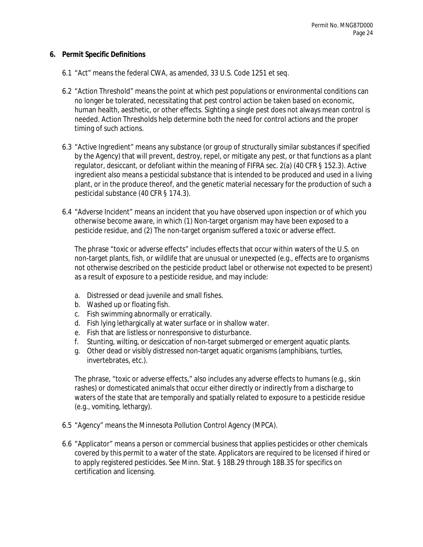#### **6. Permit Specific Definitions**

- 6.1 "Act" means the federal CWA, as amended, 33 U.S. Code 1251 et seq.
- 6.2 "Action Threshold" means the point at which pest populations or environmental conditions can no longer be tolerated, necessitating that pest control action be taken based on economic, human health, aesthetic, or other effects. Sighting a single pest does not always mean control is needed. Action Thresholds help determine both the need for control actions and the proper timing of such actions.
- 6.3 "Active Ingredient" means any substance (or group of structurally similar substances if specified by the Agency) that will prevent, destroy, repel, or mitigate any pest, or that functions as a plant regulator, desiccant, or defoliant within the meaning of FIFRA sec. 2(a) (40 CFR § 152.3). Active ingredient also means a pesticidal substance that is intended to be produced and used in a living plant, or in the produce thereof, and the genetic material necessary for the production of such a pesticidal substance (40 CFR § 174.3).
- 6.4 "Adverse Incident" means an incident that you have observed upon inspection or of which you otherwise become aware, in which (1) Non-target organism may have been exposed to a pesticide residue, and (2) The non-target organism suffered a toxic or adverse effect.

The phrase "toxic or adverse effects" includes effects that occur within waters of the U.S. on non-target plants, fish, or wildlife that are unusual or unexpected (e.g., effects are to organisms not otherwise described on the pesticide product label or otherwise not expected to be present) as a result of exposure to a pesticide residue, and may include:

- a. Distressed or dead juvenile and small fishes.
- b. Washed up or floating fish.
- c. Fish swimming abnormally or erratically.
- d. Fish lying lethargically at water surface or in shallow water.
- e. Fish that are listless or nonresponsive to disturbance.
- f. Stunting, wilting, or desiccation of non-target submerged or emergent aquatic plants.
- g. Other dead or visibly distressed non-target aquatic organisms (amphibians, turtles, invertebrates, etc.).

The phrase, "toxic or adverse effects," also includes any adverse effects to humans (e.g., skin rashes) or domesticated animals that occur either directly or indirectly from a discharge to waters of the state that are temporally and spatially related to exposure to a pesticide residue (e.g., vomiting, lethargy).

- 6.5 "Agency" means the Minnesota Pollution Control Agency (MPCA).
- 6.6 "Applicator" means a person or commercial business that applies pesticides or other chemicals covered by this permit to a water of the state. Applicators are required to be licensed if hired or to apply registered pesticides. See Minn. Stat. § 18B.29 through 18B.35 for specifics on certification and licensing.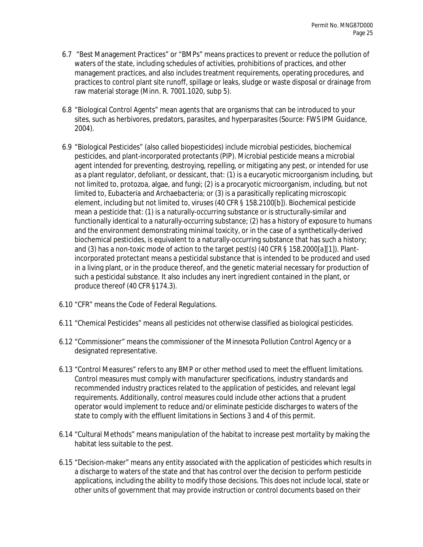- 6.7 "Best Management Practices" or "BMPs" means practices to prevent or reduce the pollution of waters of the state, including schedules of activities, prohibitions of practices, and other management practices, and also includes treatment requirements, operating procedures, and practices to control plant site runoff, spillage or leaks, sludge or waste disposal or drainage from raw material storage (Minn. R. 7001.1020, subp 5).
- 6.8 "Biological Control Agents" mean agents that are organisms that can be introduced to your sites, such as herbivores, predators, parasites, and hyperparasites (Source: FWS IPM Guidance, 2004).
- 6.9 "Biological Pesticides" (also called biopesticides) include microbial pesticides, biochemical pesticides, and plant-incorporated protectants (PIP). Microbial pesticide means a microbial agent intended for preventing, destroying, repelling, or mitigating any pest, or intended for use as a plant regulator, defoliant, or dessicant, that: (1) is a eucaryotic microorganism including, but not limited to, protozoa, algae, and fungi; (2) is a procaryotic microorganism, including, but not limited to, Eubacteria and Archaebacteria; or (3) is a parasitically replicating microscopic element, including but not limited to, viruses (40 CFR § 158.2100[b]). Biochemical pesticide mean a pesticide that: (1) is a naturally-occurring substance or is structurally-similar and functionally identical to a naturally-occurring substance; (2) has a history of exposure to humans and the environment demonstrating minimal toxicity, or in the case of a synthetically-derived biochemical pesticides, is equivalent to a naturally-occurring substance that has such a history; and (3) has a non-toxic mode of action to the target pest(s) (40 CFR § 158.2000[a][1]). Plantincorporated protectant means a pesticidal substance that is intended to be produced and used in a living plant, or in the produce thereof, and the genetic material necessary for production of such a pesticidal substance. It also includes any inert ingredient contained in the plant, or produce thereof (40 CFR §174.3).
- 6.10 "CFR" means the Code of Federal Regulations.
- 6.11 "Chemical Pesticides" means all pesticides not otherwise classified as biological pesticides.
- 6.12 "Commissioner" means the commissioner of the Minnesota Pollution Control Agency or a designated representative.
- 6.13 "Control Measures" refers to any BMP or other method used to meet the effluent limitations. Control measures must comply with manufacturer specifications, industry standards and recommended industry practices related to the application of pesticides, and relevant legal requirements. Additionally, control measures could include other actions that a prudent operator would implement to reduce and/or eliminate pesticide discharges to waters of the state to comply with the effluent limitations in Sections 3 and 4 of this permit.
- 6.14 "Cultural Methods" means manipulation of the habitat to increase pest mortality by making the habitat less suitable to the pest.
- 6.15 "Decision-maker" means any entity associated with the application of pesticides which results in a discharge to waters of the state and that has control over the decision to perform pesticide applications, including the ability to modify those decisions. This does not include local, state or other units of government that may provide instruction or control documents based on their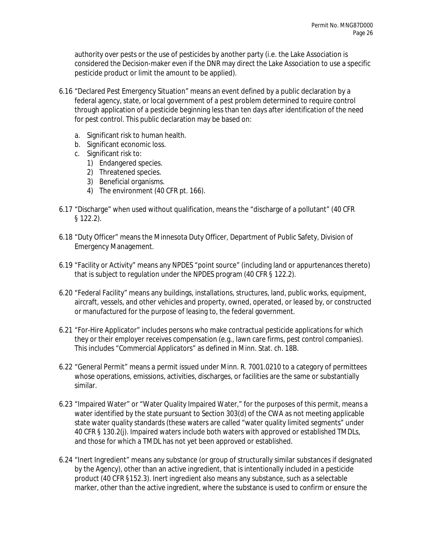authority over pests or the use of pesticides by another party (i.e. the Lake Association is considered the Decision-maker even if the DNR may direct the Lake Association to use a specific pesticide product or limit the amount to be applied).

- 6.16 "Declared Pest Emergency Situation" means an event defined by a public declaration by a federal agency, state, or local government of a pest problem determined to require control through application of a pesticide beginning less than ten days after identification of the need for pest control. This public declaration may be based on:
	- a. Significant risk to human health.
	- b. Significant economic loss.
	- c. Significant risk to:
		- 1) Endangered species.
		- 2) Threatened species.
		- 3) Beneficial organisms.
		- 4) The environment (40 CFR pt. 166).
- 6.17 "Discharge" when used without qualification, means the "discharge of a pollutant" (40 CFR § 122.2).
- 6.18 "Duty Officer" means the Minnesota Duty Officer, Department of Public Safety, Division of Emergency Management.
- 6.19 "Facility or Activity" means any NPDES "point source" (including land or appurtenances thereto) that is subject to regulation under the NPDES program (40 CFR § 122.2).
- 6.20 "Federal Facility" means any buildings, installations, structures, land, public works, equipment, aircraft, vessels, and other vehicles and property, owned, operated, or leased by, or constructed or manufactured for the purpose of leasing to, the federal government.
- 6.21 "For-Hire Applicator" includes persons who make contractual pesticide applications for which they or their employer receives compensation (e.g., lawn care firms, pest control companies). This includes "Commercial Applicators" as defined in Minn. Stat. ch. 18B.
- 6.22 "General Permit" means a permit issued under Minn. R. 7001.0210 to a category of permittees whose operations, emissions, activities, discharges, or facilities are the same or substantially similar.
- 6.23 "Impaired Water" or "Water Quality Impaired Water," for the purposes of this permit, means a water identified by the state pursuant to Section 303(d) of the CWA as not meeting applicable state water quality standards (these waters are called "water quality limited segments" under 40 CFR § 130.2(j). Impaired waters include both waters with approved or established TMDLs, and those for which a TMDL has not yet been approved or established.
- 6.24 "Inert Ingredient" means any substance (or group of structurally similar substances if designated by the Agency), other than an active ingredient, that is intentionally included in a pesticide product (40 CFR §152.3). Inert ingredient also means any substance, such as a selectable marker, other than the active ingredient, where the substance is used to confirm or ensure the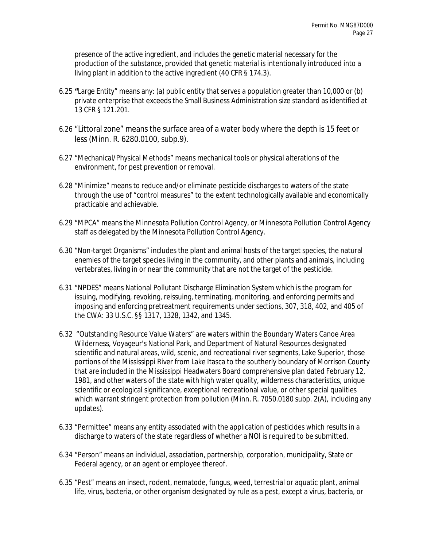presence of the active ingredient, and includes the genetic material necessary for the production of the substance, provided that genetic material is intentionally introduced into a living plant in addition to the active ingredient (40 CFR § 174.3).

- 6.25 **"**Large Entity" means any: (a) public entity that serves a population greater than 10,000 or (b) private enterprise that exceeds the Small Business Administration size standard as identified at 13 CFR § 121.201.
- 6.26 "Littoral zone" means the surface area of a water body where the depth is 15 feet or less (Minn. R. 6280.0100, subp.9).
- 6.27 "Mechanical/Physical Methods" means mechanical tools or physical alterations of the environment, for pest prevention or removal.
- 6.28 "Minimize" means to reduce and/or eliminate pesticide discharges to waters of the state through the use of "control measures" to the extent technologically available and economically practicable and achievable.
- 6.29 "MPCA" means the Minnesota Pollution Control Agency, or Minnesota Pollution Control Agency staff as delegated by the Minnesota Pollution Control Agency.
- 6.30 "Non-target Organisms" includes the plant and animal hosts of the target species, the natural enemies of the target species living in the community, and other plants and animals, including vertebrates, living in or near the community that are not the target of the pesticide.
- 6.31 "NPDES" means National Pollutant Discharge Elimination System which is the program for issuing, modifying, revoking, reissuing, terminating, monitoring, and enforcing permits and imposing and enforcing pretreatment requirements under sections, 307, 318, 402, and 405 of the CWA: 33 U.S.C. §§ 1317, 1328, 1342, and 1345.
- 6.32 "Outstanding Resource Value Waters" are waters within the Boundary Waters Canoe Area Wilderness, Voyageur's National Park, and Department of Natural Resources designated scientific and natural areas, wild, scenic, and recreational river segments, Lake Superior, those portions of the Mississippi River from Lake Itasca to the southerly boundary of Morrison County that are included in the Mississippi Headwaters Board comprehensive plan dated February 12, 1981, and other waters of the state with high water quality, wilderness characteristics, unique scientific or ecological significance, exceptional recreational value, or other special qualities which warrant stringent protection from pollution (Minn. R. 7050.0180 subp. 2(A), including any updates).
- 6.33 "Permittee" means any entity associated with the application of pesticides which results in a discharge to waters of the state regardless of whether a NOI is required to be submitted.
- 6.34 "Person" means an individual, association, partnership, corporation, municipality, State or Federal agency, or an agent or employee thereof.
- 6.35 "Pest" means an insect, rodent, nematode, fungus, weed, terrestrial or aquatic plant, animal life, virus, bacteria, or other organism designated by rule as a pest, except a virus, bacteria, or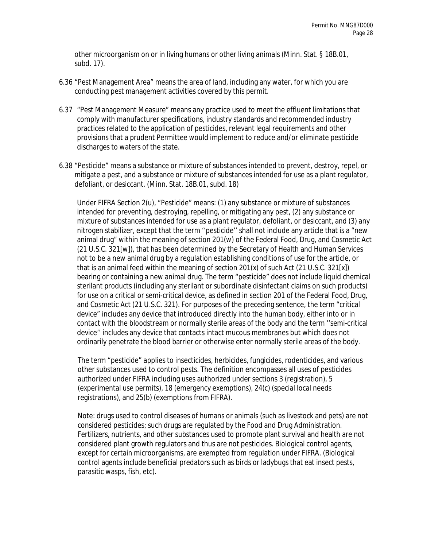other microorganism on or in living humans or other living animals (Minn. Stat. § 18B.01, subd. 17).

- 6.36 "Pest Management Area" means the area of land, including any water, for which you are conducting pest management activities covered by this permit.
- 6.37 "Pest Management Measure" means any practice used to meet the effluent limitations that comply with manufacturer specifications, industry standards and recommended industry practices related to the application of pesticides, relevant legal requirements and other provisions that a prudent Permittee would implement to reduce and/or eliminate pesticide discharges to waters of the state.
- 6.38 "Pesticide" means a substance or mixture of substances intended to prevent, destroy, repel, or mitigate a pest, and a substance or mixture of substances intended for use as a plant regulator, defoliant, or desiccant. (Minn. Stat. 18B.01, subd. 18)

Under FIFRA Section 2(u), "Pesticide" means: (1) any substance or mixture of substances intended for preventing, destroying, repelling, or mitigating any pest, (2) any substance or mixture of substances intended for use as a plant regulator, defoliant, or desiccant, and (3) any nitrogen stabilizer, except that the term ''pesticide'' shall not include any article that is a "new animal drug" within the meaning of section 201(w) of the Federal Food, Drug, and Cosmetic Act (21 U.S.C. 321[w]), that has been determined by the Secretary of Health and Human Services not to be a new animal drug by a regulation establishing conditions of use for the article, or that is an animal feed within the meaning of section  $201(x)$  of such Act  $(21 \text{ U.S.C. } 321[x])$ bearing or containing a new animal drug. The term "pesticide" does not include liquid chemical sterilant products (including any sterilant or subordinate disinfectant claims on such products) for use on a critical or semi-critical device, as defined in section 201 of the Federal Food, Drug, and Cosmetic Act (21 U.S.C. 321). For purposes of the preceding sentence, the term "critical device" includes any device that introduced directly into the human body, either into or in contact with the bloodstream or normally sterile areas of the body and the term ''semi-critical device'' includes any device that contacts intact mucous membranes but which does not ordinarily penetrate the blood barrier or otherwise enter normally sterile areas of the body.

The term "pesticide" applies to insecticides, herbicides, fungicides, rodenticides, and various other substances used to control pests. The definition encompasses all uses of pesticides authorized under FIFRA including uses authorized under sections 3 (registration), 5 (experimental use permits), 18 (emergency exemptions), 24(c) (special local needs registrations), and 25(b) (exemptions from FIFRA).

Note: drugs used to control diseases of humans or animals (such as livestock and pets) are not considered pesticides; such drugs are regulated by the Food and Drug Administration. Fertilizers, nutrients, and other substances used to promote plant survival and health are not considered plant growth regulators and thus are not pesticides. Biological control agents, except for certain microorganisms, are exempted from regulation under FIFRA. (Biological control agents include beneficial predators such as birds or ladybugs that eat insect pests, parasitic wasps, fish, etc).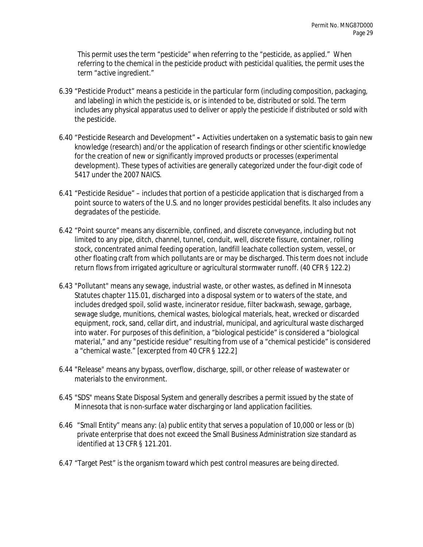*This permit uses the term "pesticide" when referring to the "pesticide, as applied." When referring to the chemical in the pesticide product with pesticidal qualities, the permit uses the term "active ingredient."* 

- 6.39 "Pesticide Product" means a pesticide in the particular form (including composition, packaging, and labeling) in which the pesticide is, or is intended to be, distributed or sold. The term includes any physical apparatus used to deliver or apply the pesticide if distributed or sold with the pesticide.
- 6.40 "Pesticide Research and Development" **–** Activities undertaken on a systematic basis to gain new knowledge (research) and/or the application of research findings or other scientific knowledge for the creation of new or significantly improved products or processes (experimental development). These types of activities are generally categorized under the four-digit code of 5417 under the 2007 NAICS.
- 6.41 "Pesticide Residue" includes that portion of a pesticide application that is discharged from a point source to waters of the U.S. and no longer provides pesticidal benefits. It also includes any degradates of the pesticide.
- 6.42 "Point source" means any discernible, confined, and discrete conveyance, including but not limited to any pipe, ditch, channel, tunnel, conduit, well, discrete fissure, container, rolling stock, concentrated animal feeding operation, landfill leachate collection system, vessel, or other floating craft from which pollutants are or may be discharged. This term does not include return flows from irrigated agriculture or agricultural stormwater runoff. (40 CFR § 122.2)
- 6.43 "Pollutant" means any sewage, industrial waste, or other wastes, as defined in Minnesota Statutes chapter 115.01, discharged into a disposal system or to waters of the state, and includes dredged spoil, solid waste, incinerator residue, filter backwash, sewage, garbage, sewage sludge, munitions, chemical wastes, biological materials, heat, wrecked or discarded equipment, rock, sand, cellar dirt, and industrial, municipal, and agricultural waste discharged into water. For purposes of this definition, a "biological pesticide" is considered a "biological material," and any "pesticide residue" resulting from use of a "chemical pesticide" is considered a "chemical waste." [excerpted from 40 CFR § 122.2]
- 6.44 "Release" means any bypass, overflow, discharge, spill, or other release of wastewater or materials to the environment.
- 6.45 "SDS" means State Disposal System and generally describes a permit issued by the state of Minnesota that is non-surface water discharging or land application facilities.
- 6.46 "Small Entity" means any: (a) public entity that serves a population of 10,000 or less or (b) private enterprise that does not exceed the Small Business Administration size standard as identified at 13 CFR § 121.201.
- 6.47 "Target Pest" is the organism toward which pest control measures are being directed.